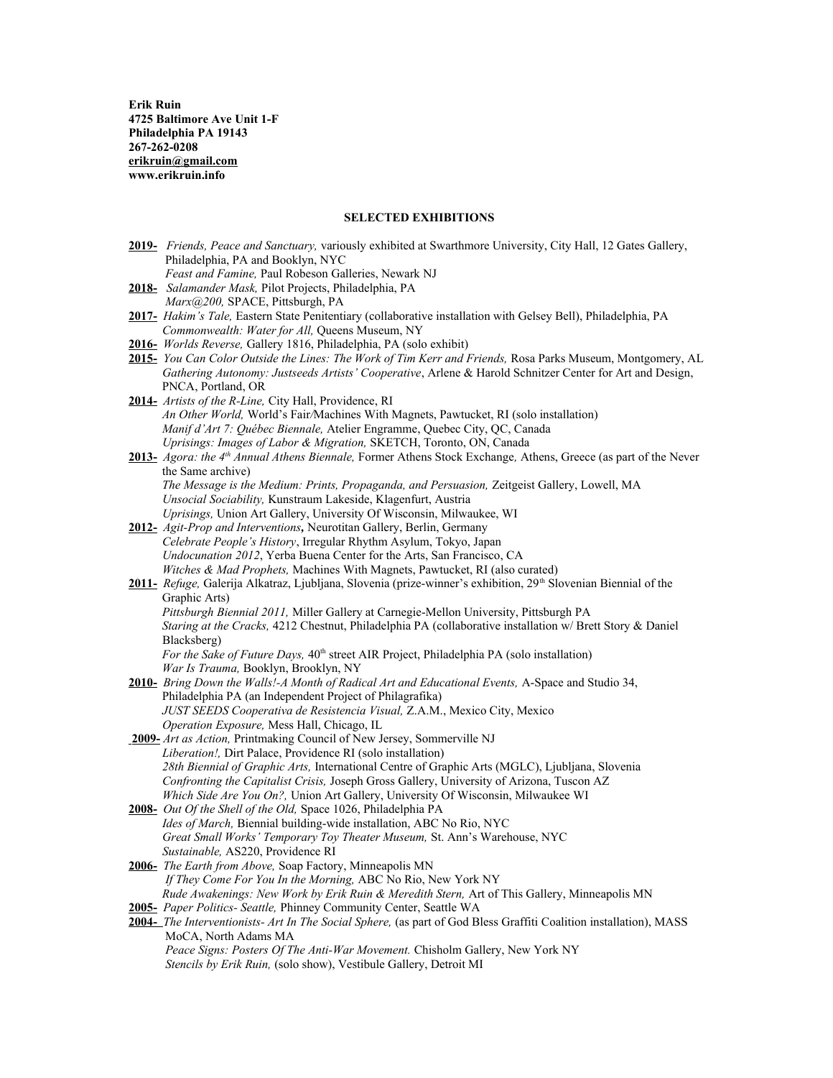**Erik Ruin 4725 Baltimore Ave Unit 1-F Philadelphia PA 19143 267-262-0208 [erikruin@gmail.com](mailto:erikruin@gmail.com) www.erikruin.info**

# **SELECTED EXHIBITIONS**

- **2019-** *Friends, Peace and Sanctuary,* variously exhibited at Swarthmore University, City Hall, 12 Gates Gallery, Philadelphia, PA and Booklyn, NYC
- *Feast and Famine,* Paul Robeson Galleries, Newark NJ **2018-** *Salamander Mask,* Pilot Projects, Philadelphia, PA *Marx@200,* SPACE, Pittsburgh, PA
- **2017-** *Hakim's Tale,* Eastern State Penitentiary (collaborative installation with Gelsey Bell), Philadelphia, PA *Commonwealth: Water for All,* Queens Museum, NY
- **2016-** *Worlds Reverse,* Gallery 1816, Philadelphia, PA (solo exhibit)
- **2015-** *You Can Color Outside the Lines: The Work of Tim Kerr and Friends,* Rosa Parks Museum, Montgomery, AL  *Gathering Autonomy: Justseeds Artists' Cooperative*, Arlene & Harold Schnitzer Center for Art and Design, PNCA, Portland, OR
- **2014-** *Artists of the R-Line,* City Hall, Providence, RI *An Other World,* World's Fair*/*Machines With Magnets, Pawtucket, RI (solo installation) *Manif d'Art 7: Québec Biennale,* Atelier Engramme, Quebec City, QC, Canada *Uprisings: Images of Labor & Migration,* SKETCH, Toronto, ON, Canada
- **2013-** *Agora: the 4th Annual Athens Biennale,* Former Athens Stock Exchange*,* Athens, Greece (as part of the Never the Same archive) *The Message is the Medium: Prints, Propaganda, and Persuasion, Zeitgeist Gallery, Lowell, MA* *Unsocial Sociability,* Kunstraum Lakeside, Klagenfurt, Austria *Uprisings,* Union Art Gallery, University Of Wisconsin, Milwaukee, WI
- **2012-** *Agit-Prop and Interventions,* Neurotitan Gallery, Berlin, Germany *Celebrate People's History*, Irregular Rhythm Asylum, Tokyo, Japan *Undocunation 2012*, Yerba Buena Center for the Arts, San Francisco, CA *Witches & Mad Prophets,* Machines With Magnets, Pawtucket, RI (also curated)
- **2011-** *Refuge,* Galerija Alkatraz, Ljubljana, Slovenia (prize-winner's exhibition, 29<sup>th</sup> Slovenian Biennial of the Graphic Arts)  *Pittsburgh Biennial 2011,* Miller Gallery at Carnegie-Mellon University, Pittsburgh PA
	- *Staring at the Cracks,* 4212 Chestnut, Philadelphia PA (collaborative installation w/ Brett Story & Daniel Blacksberg)

*For the Sake of Future Days,*  $40^{\text{th}}$  street AIR Project, Philadelphia PA (solo installation)  *War Is Trauma,* Booklyn, Brooklyn, NY

- **2010-** *Bring Down the Walls!-A Month of Radical Art and Educational Events,* A-Space and Studio 34, Philadelphia PA (an Independent Project of Philagrafika) *JUST SEEDS Cooperativa de Resistencia Visual,* Z.A.M., Mexico City, Mexico *Operation Exposure,* Mess Hall, Chicago, IL
- **2009-** *Art as Action,* Printmaking Council of New Jersey, Sommerville NJ *Liberation!,* Dirt Palace, Providence RI (solo installation) *28th Biennial of Graphic Arts,* International Centre of Graphic Arts (MGLC), Ljubljana, Slovenia *Confronting the Capitalist Crisis,* Joseph Gross Gallery, University of Arizona, Tuscon AZ *Which Side Are You On?,* Union Art Gallery, University Of Wisconsin, Milwaukee WI
- **2008-** *Out Of the Shell of the Old,* Space 1026, Philadelphia PA *Ides of March,* Biennial building-wide installation, ABC No Rio, NYC *Great Small Works' Temporary Toy Theater Museum,* St. Ann's Warehouse, NYC *Sustainable,* AS220, Providence RI
- **2006-** *The Earth from Above,* Soap Factory, Minneapolis MN  *If They Come For You In the Morning,* ABC No Rio, New York NY  *Rude Awakenings: New Work by Erik Ruin & Meredith Stern,* Art of This Gallery, Minneapolis MN
- **2005-** *Paper Politics- Seattle,* Phinney Community Center, Seattle WA

 *Stencils by Erik Ruin,* (solo show), Vestibule Gallery, Detroit MI

### **2004-** *The Interventionists- Art In The Social Sphere,* (as part of God Bless Graffiti Coalition installation), MASS MoCA, North Adams MA  *Peace Signs: Posters Of The Anti-War Movement.* Chisholm Gallery, New York NY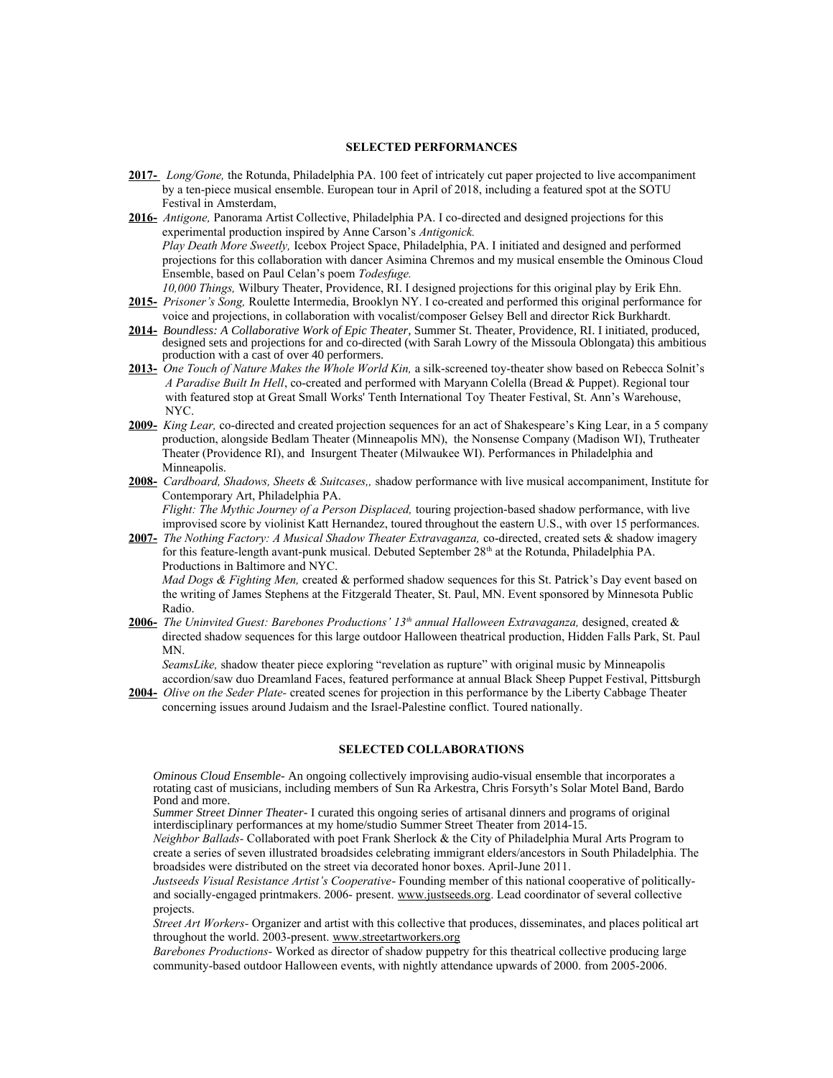#### **SELECTED PERFORMANCES**

- **2017-** *Long/Gone,* the Rotunda, Philadelphia PA. 100 feet of intricately cut paper projected to live accompaniment by a ten-piece musical ensemble. European tour in April of 2018, including a featured spot at the SOTU Festival in Amsterdam,
- **2016-** *Antigone,* Panorama Artist Collective, Philadelphia PA. I co-directed and designed projections for this experimental production inspired by Anne Carson's *Antigonick. Play Death More Sweetly,* Icebox Project Space, Philadelphia, PA. I initiated and designed and performed projections for this collaboration with dancer Asimina Chremos and my musical ensemble the Ominous Cloud Ensemble, based on Paul Celan's poem *Todesfuge. 10,000 Things,* Wilbury Theater, Providence, RI. I designed projections for this original play by Erik Ehn.
- **2015-** *Prisoner's Song,* Roulette Intermedia, Brooklyn NY. I co-created and performed this original performance for voice and projections, in collaboration with vocalist/composer Gelsey Bell and director Rick Burkhardt.
- **2014-** *Boundless: A Collaborative Work of Epic Theater,* Summer St. Theater, Providence, RI. I initiated, produced, designed sets and projections for and co-directed (with Sarah Lowry of the Missoula Oblongata) this ambitious production with a cast of over 40 performers.
- **2013-** *One Touch of Nature Makes the Whole World Kin,* a silk-screened toy-theater show based on Rebecca Solnit's *A Paradise Built In Hell*, co-created and performed with Maryann Colella (Bread & Puppet). Regional tour with featured stop at Great Small Works' Tenth International Toy Theater Festival, St. Ann's Warehouse, NYC.
- **2009-** *King Lear,* co-directed and created projection sequences for an act of Shakespeare's King Lear, in a 5 company production, alongside Bedlam Theater (Minneapolis MN), the Nonsense Company (Madison WI), Trutheater Theater (Providence RI), and Insurgent Theater (Milwaukee WI). Performances in Philadelphia and Minneapolis.
- **2008-** *Cardboard, Shadows, Sheets & Suitcases,,* shadow performance with live musical accompaniment, Institute for Contemporary Art, Philadelphia PA.  *Flight: The Mythic Journey of a Person Displaced,* touring projection-based shadow performance, with live improvised score by violinist Katt Hernandez, toured throughout the eastern U.S., with over 15 performances.
- **2007-** *The Nothing Factory: A Musical Shadow Theater Extravaganza,* co-directed, created sets & shadow imagery for this feature-length avant-punk musical. Debuted September 28<sup>th</sup> at the Rotunda, Philadelphia PA. Productions in Baltimore and NYC.

 *Mad Dogs & Fighting Men,* created & performed shadow sequences for this St. Patrick's Day event based on the writing of James Stephens at the Fitzgerald Theater, St. Paul, MN. Event sponsored by Minnesota Public Radio.

**2006-** *The Uninvited Guest: Barebones Productions' 13th annual Halloween Extravaganza,* designed, created & directed shadow sequences for this large outdoor Halloween theatrical production, Hidden Falls Park, St. Paul MN.

 *SeamsLike,* shadow theater piece exploring "revelation as rupture" with original music by Minneapolis accordion/saw duo Dreamland Faces, featured performance at annual Black Sheep Puppet Festival, Pittsburgh

**2004-** *Olive on the Seder Plate-* created scenes for projection in this performance by the Liberty Cabbage Theater concerning issues around Judaism and the Israel-Palestine conflict. Toured nationally.

## **SELECTED COLLABORATIONS**

*Ominous Cloud Ensemble-* An ongoing collectively improvising audio-visual ensemble that incorporates a rotating cast of musicians, including members of Sun Ra Arkestra, Chris Forsyth's Solar Motel Band, Bardo Pond and more.

*Summer Street Dinner Theater-* I curated this ongoing series of artisanal dinners and programs of original interdisciplinary performances at my home/studio Summer Street Theater from 2014-15.

*Neighbor Ballads-* Collaborated with poet Frank Sherlock & the City of Philadelphia Mural Arts Program to create a series of seven illustrated broadsides celebrating immigrant elders/ancestors in South Philadelphia. The broadsides were distributed on the street via decorated honor boxes. April-June 2011.

*Justseeds Visual Resistance Artist's Cooperative*- Founding member of this national cooperative of politicallyand socially-engaged printmakers. 2006- present. [www.justseeds.org.](http://www.justseeds.org/) Lead coordinator of several collective projects.

*Street Art Workers-* Organizer and artist with this collective that produces, disseminates, and places political art throughout the world. 2003-present. [www.streetartworkers.org](http://www.streetartworkers.org/)

*Barebones Productions-* Worked as director of shadow puppetry for this theatrical collective producing large community-based outdoor Halloween events, with nightly attendance upwards of 2000. from 2005-2006.